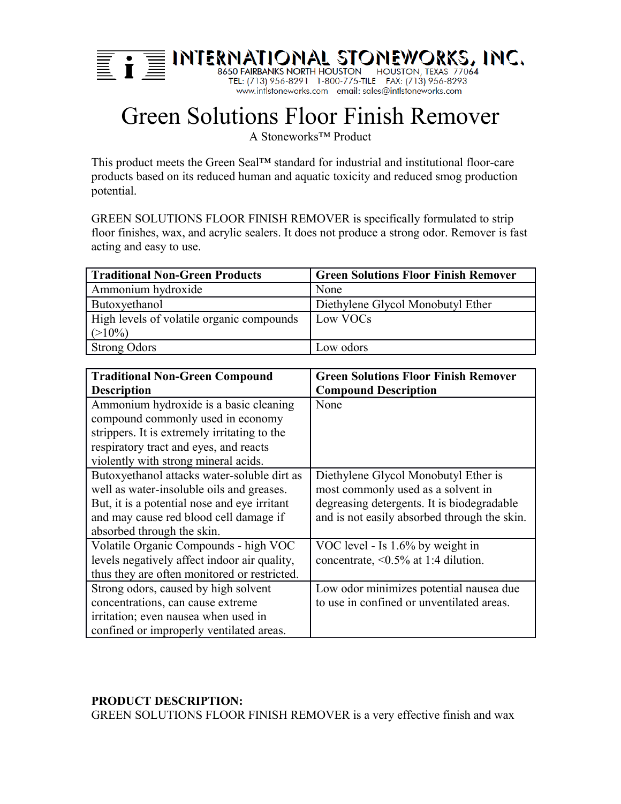

# Green Solutions Floor Finish Remover

A Stoneworks™ Product

This product meets the Green Seal™ standard for industrial and institutional floor-care products based on its reduced human and aquatic toxicity and reduced smog production potential.

GREEN SOLUTIONS FLOOR FINISH REMOVER is specifically formulated to strip floor finishes, wax, and acrylic sealers. It does not produce a strong odor. Remover is fast acting and easy to use.

| <b>Traditional Non-Green Products</b>     | <b>Green Solutions Floor Finish Remover</b> |
|-------------------------------------------|---------------------------------------------|
| Ammonium hydroxide                        | None                                        |
| Butoxyethanol                             | Diethylene Glycol Monobutyl Ether           |
| High levels of volatile organic compounds | Low VOCs                                    |
| $(>10\%)$                                 |                                             |
| <b>Strong Odors</b>                       | Low odors                                   |

| <b>Traditional Non-Green Compound</b>        | <b>Green Solutions Floor Finish Remover</b>  |
|----------------------------------------------|----------------------------------------------|
| <b>Description</b>                           | <b>Compound Description</b>                  |
| Ammonium hydroxide is a basic cleaning       | None                                         |
| compound commonly used in economy            |                                              |
| strippers. It is extremely irritating to the |                                              |
| respiratory tract and eyes, and reacts       |                                              |
| violently with strong mineral acids.         |                                              |
| Butoxyethanol attacks water-soluble dirt as  | Diethylene Glycol Monobutyl Ether is         |
| well as water-insoluble oils and greases.    | most commonly used as a solvent in           |
| But, it is a potential nose and eye irritant | degreasing detergents. It is biodegradable   |
| and may cause red blood cell damage if       | and is not easily absorbed through the skin. |
| absorbed through the skin.                   |                                              |
| Volatile Organic Compounds - high VOC        | VOC level - Is 1.6% by weight in             |
| levels negatively affect indoor air quality, | concentrate, $\leq 0.5\%$ at 1:4 dilution.   |
| thus they are often monitored or restricted. |                                              |
| Strong odors, caused by high solvent         | Low odor minimizes potential nausea due      |
| concentrations, can cause extreme            | to use in confined or unventilated areas.    |
| irritation; even nausea when used in         |                                              |
| confined or improperly ventilated areas.     |                                              |

# **PRODUCT DESCRIPTION:**

GREEN SOLUTIONS FLOOR FINISH REMOVER is a very effective finish and wax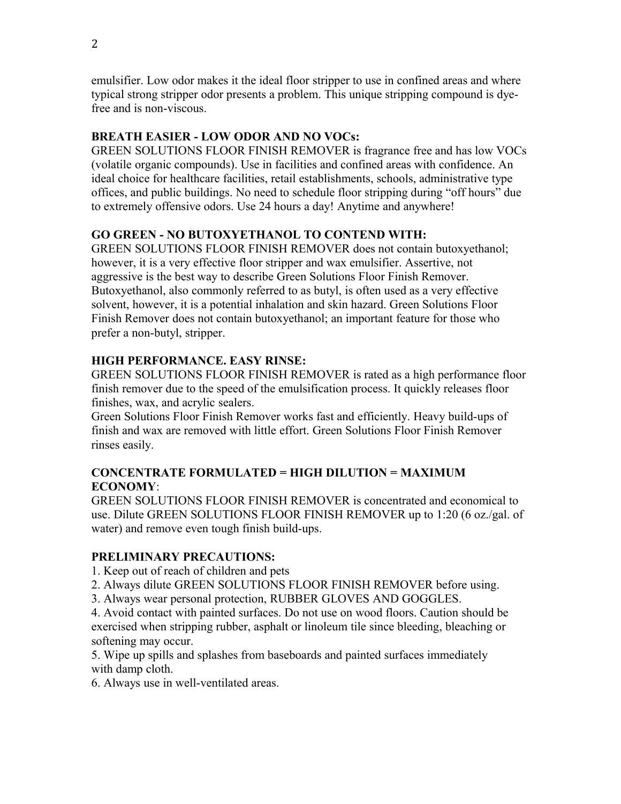emulsifier. Low odor makes it the ideal floor stripper to use in confined areas and where typical strong stripper odor presents a problem. This unique stripping compound is dyefree and is non-viscous.

#### **BREATH EASIER - LOW ODOR AND NO VOCs:**

GREEN SOLUTIONS FLOOR FINISH REMOVER is fragrance free and has low VOCs (volatile organic compounds). Use in facilities and confined areas with confidence. An ideal choice for healthcare facilities, retail establishments, schools, administrative type offices, and public buildings. No need to schedule floor stripping during "off hours" due to extremely offensive odors. Use 24 hours a day! Anytime and anywhere!

# **GO GREEN - NO BUTOXYETHANOL TO CONTEND WITH:**

GREEN SOLUTIONS FLOOR FINISH REMOVER does not contain butoxyethanol; however, it is a very effective floor stripper and wax emulsifier. Assertive, not aggressive is the best way to describe Green Solutions Floor Finish Remover. Butoxyethanol, also commonly referred to as butyl, is often used as a very effective solvent, however, it is a potential inhalation and skin hazard. Green Solutions Floor Finish Remover does not contain butoxyethanol; an important feature for those who prefer a non-butyl, stripper.

#### **HIGH PERFORMANCE. EASY RINSE:**

GREEN SOLUTIONS FLOOR FINISH REMOVER is rated as a high performance floor finish remover due to the speed of the emulsification process. It quickly releases floor finishes, wax, and acrylic sealers.

Green Solutions Floor Finish Remover works fast and efficiently. Heavy build-ups of finish and wax are removed with little effort. Green Solutions Floor Finish Remover rinses easily.

#### **CONCENTRATE FORMULATED = HIGH DILUTION = MAXIMUM ECONOMY**:

GREEN SOLUTIONS FLOOR FINISH REMOVER is concentrated and economical to use. Dilute GREEN SOLUTIONS FLOOR FINISH REMOVER up to 1:20 (6 oz./gal. of water) and remove even tough finish build-ups.

#### **PRELIMINARY PRECAUTIONS:**

1. Keep out of reach of children and pets

- 2. Always dilute GREEN SOLUTIONS FLOOR FINISH REMOVER before using.
- 3. Always wear personal protection, RUBBER GLOVES AND GOGGLES.

4. Avoid contact with painted surfaces. Do not use on wood floors. Caution should be exercised when stripping rubber, asphalt or linoleum tile since bleeding, bleaching or softening may occur.

5. Wipe up spills and splashes from baseboards and painted surfaces immediately with damp cloth.

6. Always use in well-ventilated areas.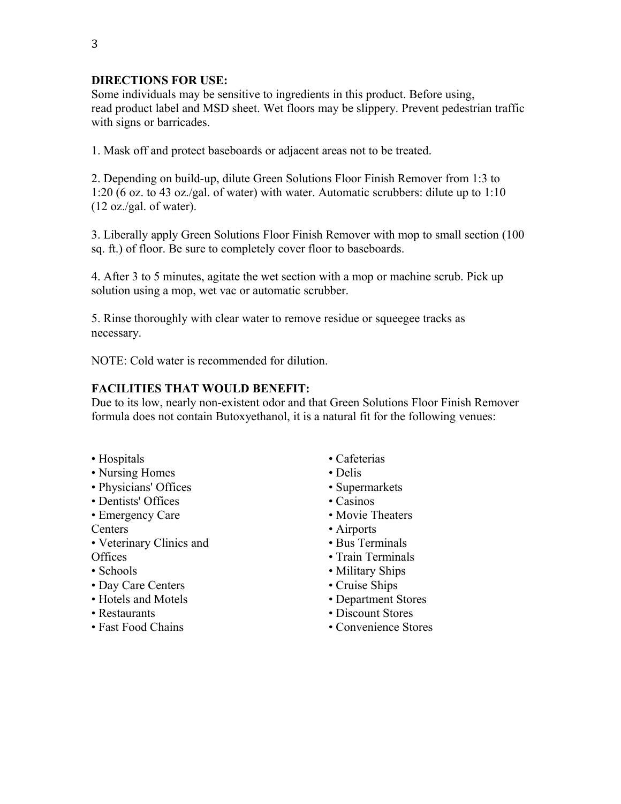## **DIRECTIONS FOR USE:**

Some individuals may be sensitive to ingredients in this product. Before using, read product label and MSD sheet. Wet floors may be slippery. Prevent pedestrian traffic with signs or barricades.

1. Mask off and protect baseboards or adjacent areas not to be treated.

2. Depending on build-up, dilute Green Solutions Floor Finish Remover from 1:3 to 1:20 (6 oz. to 43 oz./gal. of water) with water. Automatic scrubbers: dilute up to 1:10  $(12 \text{ oz./gal. of water}).$ 

3. Liberally apply Green Solutions Floor Finish Remover with mop to small section (100 sq. ft.) of floor. Be sure to completely cover floor to baseboards.

4. After 3 to 5 minutes, agitate the wet section with a mop or machine scrub. Pick up solution using a mop, wet vac or automatic scrubber.

5. Rinse thoroughly with clear water to remove residue or squeegee tracks as necessary.

NOTE: Cold water is recommended for dilution.

#### **FACILITIES THAT WOULD BENEFIT:**

Due to its low, nearly non-existent odor and that Green Solutions Floor Finish Remover formula does not contain Butoxyethanol, it is a natural fit for the following venues:

- Hospitals
- Nursing Homes
- Physicians' Offices
- Dentists' Offices
- Emergency Care

Centers

- Veterinary Clinics and Offices
- Schools
- Day Care Centers
- Hotels and Motels
- Restaurants
- Fast Food Chains
- Cafeterias
- Delis
- Supermarkets
- Casinos
- Movie Theaters
- Airports
- Bus Terminals
- Train Terminals
- Military Ships
- Cruise Ships
- Department Stores
- Discount Stores
- Convenience Stores